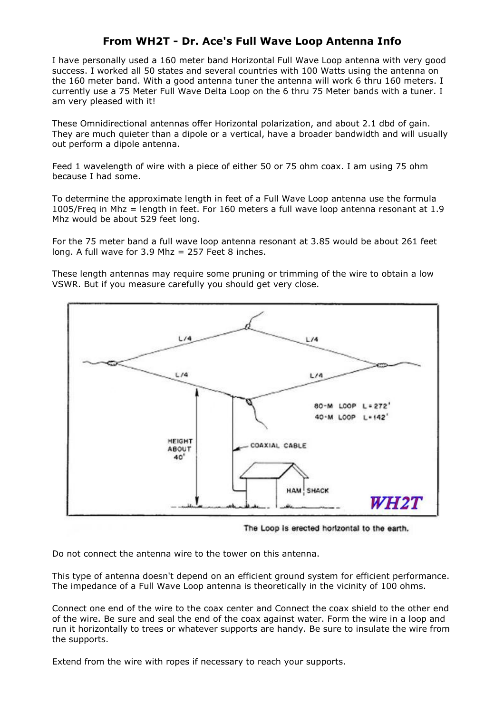# From WH2T - Dr. Ace's Full Wave Loop Antenna Info

I have personally used a 160 meter band Horizontal Full Wave Loop antenna with very good success. I worked all 50 states and several countries with 100 Watts using the antenna on the 160 meter band. With a good antenna tuner the antenna will work 6 thru 160 meters. I currently use a 75 Meter Full Wave Delta Loop on the 6 thru 75 Meter bands with a tuner. I am very pleased with it!

These Omnidirectional antennas offer Horizontal polarization, and about 2.1 dbd of gain. They are much quieter than a dipole or a vertical, have a broader bandwidth and will usually out perform a dipole antenna.

Feed 1 wavelength of wire with a piece of either 50 or 75 ohm coax. I am using 75 ohm because I had some.

To determine the approximate length in feet of a Full Wave Loop antenna use the formula 1005/Freq in Mhz = length in feet. For 160 meters a full wave loop antenna resonant at 1.9 Mhz would be about 529 feet long.

For the 75 meter band a full wave loop antenna resonant at 3.85 would be about 261 feet long. A full wave for  $3.9$  Mhz = 257 Feet 8 inches.

These length antennas may require some pruning or trimming of the wire to obtain a low VSWR. But if you measure carefully you should get very close.



The Loop is erected horizontal to the earth.

Do not connect the antenna wire to the tower on this antenna.

This type of antenna doesn't depend on an efficient ground system for efficient performance. The impedance of a Full Wave Loop antenna is theoretically in the vicinity of 100 ohms.

Connect one end of the wire to the coax center and Connect the coax shield to the other end of the wire. Be sure and seal the end of the coax against water. Form the wire in a loop and run it horizontally to trees or whatever supports are handy. Be sure to insulate the wire from the supports.

Extend from the wire with ropes if necessary to reach your supports.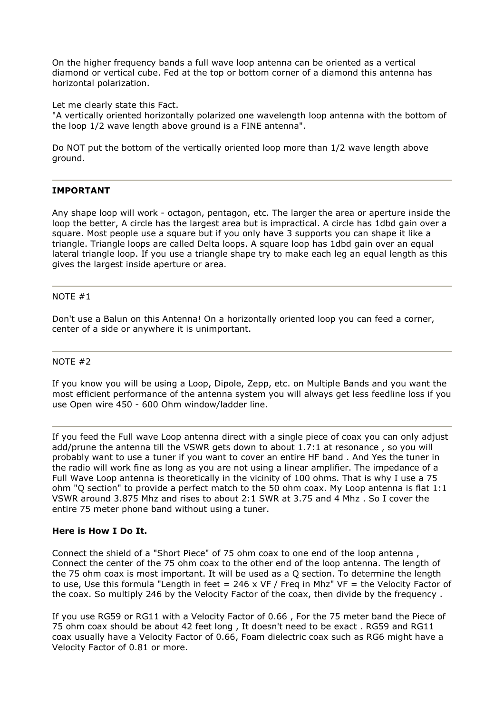On the higher frequency bands a full wave loop antenna can be oriented as a vertical diamond or vertical cube. Fed at the top or bottom corner of a diamond this antenna has horizontal polarization.

Let me clearly state this Fact.

"A vertically oriented horizontally polarized one wavelength loop antenna with the bottom of the loop 1/2 wave length above ground is a FINE antenna".

Do NOT put the bottom of the vertically oriented loop more than 1/2 wave length above ground.

## IMPORTANT

Any shape loop will work - octagon, pentagon, etc. The larger the area or aperture inside the loop the better, A circle has the largest area but is impractical. A circle has 1dbd gain over a square. Most people use a square but if you only have 3 supports you can shape it like a triangle. Triangle loops are called Delta loops. A square loop has 1dbd gain over an equal lateral triangle loop. If you use a triangle shape try to make each leg an equal length as this gives the largest inside aperture or area.

#### NOTE #1

Don't use a Balun on this Antenna! On a horizontally oriented loop you can feed a corner, center of a side or anywhere it is unimportant.

### NOTE #2

If you know you will be using a Loop, Dipole, Zepp, etc. on Multiple Bands and you want the most efficient performance of the antenna system you will always get less feedline loss if you use Open wire 450 - 600 Ohm window/ladder line.

If you feed the Full wave Loop antenna direct with a single piece of coax you can only adjust add/prune the antenna till the VSWR gets down to about 1.7:1 at resonance , so you will probably want to use a tuner if you want to cover an entire HF band . And Yes the tuner in the radio will work fine as long as you are not using a linear amplifier. The impedance of a Full Wave Loop antenna is theoretically in the vicinity of 100 ohms. That is why I use a 75 ohm "Q section" to provide a perfect match to the 50 ohm coax. My Loop antenna is flat 1:1 VSWR around 3.875 Mhz and rises to about 2:1 SWR at 3.75 and 4 Mhz . So I cover the entire 75 meter phone band without using a tuner.

## Here is How I Do It.

Connect the shield of a "Short Piece" of 75 ohm coax to one end of the loop antenna , Connect the center of the 75 ohm coax to the other end of the loop antenna. The length of the 75 ohm coax is most important. It will be used as a Q section. To determine the length to use, Use this formula "Length in feet = 246 x VF / Freq in Mhz" VF = the Velocity Factor of the coax. So multiply 246 by the Velocity Factor of the coax, then divide by the frequency .

If you use RG59 or RG11 with a Velocity Factor of 0.66 , For the 75 meter band the Piece of 75 ohm coax should be about 42 feet long , It doesn't need to be exact . RG59 and RG11 coax usually have a Velocity Factor of 0.66, Foam dielectric coax such as RG6 might have a Velocity Factor of 0.81 or more.